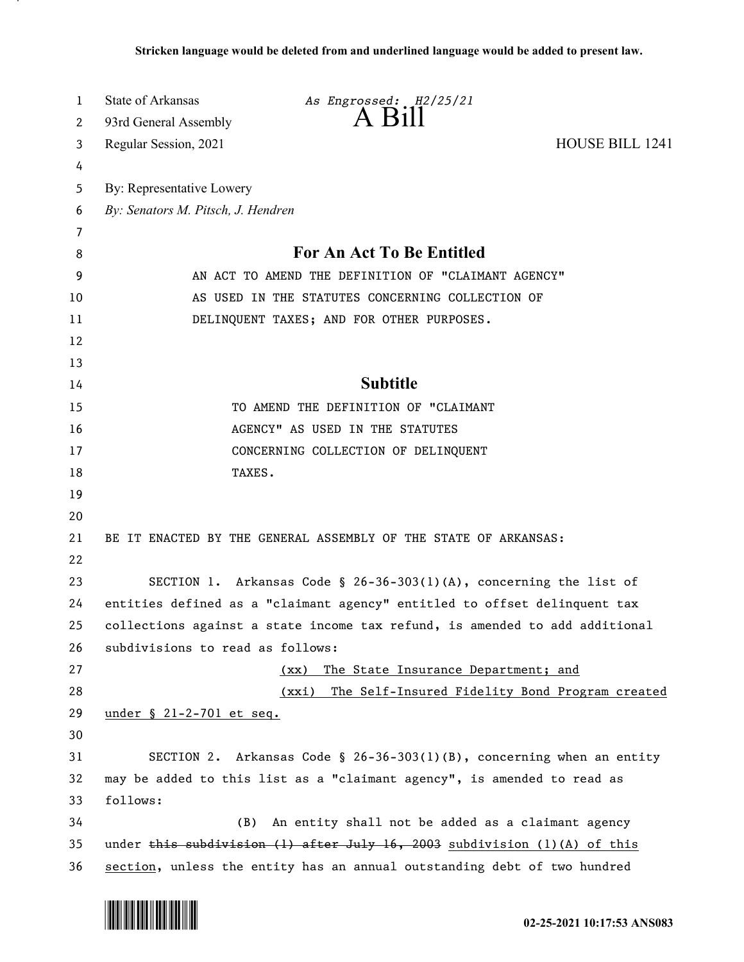| 1  | <b>State of Arkansas</b>                                                       | As Engrossed: H2/25/21                                                      |                        |  |  |  |  |
|----|--------------------------------------------------------------------------------|-----------------------------------------------------------------------------|------------------------|--|--|--|--|
| 2  | 93rd General Assembly                                                          | $A$ Bill                                                                    |                        |  |  |  |  |
| 3  | Regular Session, 2021                                                          |                                                                             | <b>HOUSE BILL 1241</b> |  |  |  |  |
| 4  |                                                                                |                                                                             |                        |  |  |  |  |
| 5  | By: Representative Lowery                                                      |                                                                             |                        |  |  |  |  |
| 6  | By: Senators M. Pitsch, J. Hendren                                             |                                                                             |                        |  |  |  |  |
| 7  |                                                                                |                                                                             |                        |  |  |  |  |
| 8  | For An Act To Be Entitled                                                      |                                                                             |                        |  |  |  |  |
| 9  | AN ACT TO AMEND THE DEFINITION OF "CLAIMANT AGENCY"                            |                                                                             |                        |  |  |  |  |
| 10 | AS USED IN THE STATUTES CONCERNING COLLECTION OF                               |                                                                             |                        |  |  |  |  |
| 11 | DELINQUENT TAXES; AND FOR OTHER PURPOSES.                                      |                                                                             |                        |  |  |  |  |
| 12 |                                                                                |                                                                             |                        |  |  |  |  |
| 13 |                                                                                |                                                                             |                        |  |  |  |  |
| 14 | <b>Subtitle</b>                                                                |                                                                             |                        |  |  |  |  |
| 15 | TO AMEND THE DEFINITION OF "CLAIMANT                                           |                                                                             |                        |  |  |  |  |
| 16 | AGENCY" AS USED IN THE STATUTES                                                |                                                                             |                        |  |  |  |  |
| 17 |                                                                                | CONCERNING COLLECTION OF DELINQUENT                                         |                        |  |  |  |  |
| 18 | TAXES.                                                                         |                                                                             |                        |  |  |  |  |
| 19 |                                                                                |                                                                             |                        |  |  |  |  |
| 20 |                                                                                |                                                                             |                        |  |  |  |  |
| 21 | BE IT ENACTED BY THE GENERAL ASSEMBLY OF THE STATE OF ARKANSAS:                |                                                                             |                        |  |  |  |  |
| 22 |                                                                                |                                                                             |                        |  |  |  |  |
| 23 |                                                                                | SECTION 1. Arkansas Code § 26-36-303(1)(A), concerning the list of          |                        |  |  |  |  |
| 24 | entities defined as a "claimant agency" entitled to offset delinquent tax      |                                                                             |                        |  |  |  |  |
| 25 |                                                                                | collections against a state income tax refund, is amended to add additional |                        |  |  |  |  |
| 26 | subdivisions to read as follows:                                               |                                                                             |                        |  |  |  |  |
| 27 |                                                                                | The State Insurance Department; and<br>(xx)                                 |                        |  |  |  |  |
| 28 |                                                                                | (xxi)<br>The Self-Insured Fidelity Bond Program created                     |                        |  |  |  |  |
| 29 | under § 21-2-701 et seq.                                                       |                                                                             |                        |  |  |  |  |
| 30 |                                                                                |                                                                             |                        |  |  |  |  |
| 31 |                                                                                | SECTION 2. Arkansas Code § 26-36-303(1)(B), concerning when an entity       |                        |  |  |  |  |
| 32 | may be added to this list as a "claimant agency", is amended to read as        |                                                                             |                        |  |  |  |  |
| 33 | follows:                                                                       |                                                                             |                        |  |  |  |  |
| 34 | (B)                                                                            | An entity shall not be added as a claimant agency                           |                        |  |  |  |  |
| 35 | under this subdivision $(1)$ after July 16, 2003 subdivision $(1)$ (A) of this |                                                                             |                        |  |  |  |  |
| 36 | section, unless the entity has an annual outstanding debt of two hundred       |                                                                             |                        |  |  |  |  |